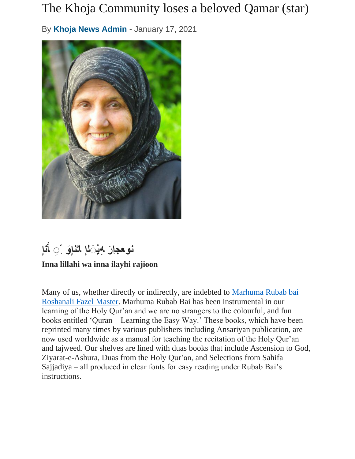## The Khoja Community loses a beloved Qamar (star)

By **[Khoja News Admin](https://khojanews.org/author/newseditor/)** - January 17, 2021



**نإِ َّ نوعجاِ ِھ ْی َلإِ نإِ و ر َِ ا اـ َِ َّ**

## **Inna lillahi wa inna ilayhi rajioon**

Many of us, whether directly or indirectly, are indebted to [Marhuma Rubab bai](http://www.dewani.ca/rubab8.htm)  [Roshanali Fazel Master.](http://www.dewani.ca/rubab8.htm) Marhuma Rubab Bai has been instrumental in our learning of the Holy Qur'an and we are no strangers to the colourful, and fun books entitled 'Quran – Learning the Easy Way.' These books, which have been reprinted many times by various publishers including Ansariyan publication, are now used worldwide as a manual for teaching the recitation of the Holy Qur'an and tajweed. Our shelves are lined with duas books that include Ascension to God, Ziyarat-e-Ashura, Duas from the Holy Qur'an, and Selections from Sahifa Sajjadiya – all produced in clear fonts for easy reading under Rubab Bai's instructions.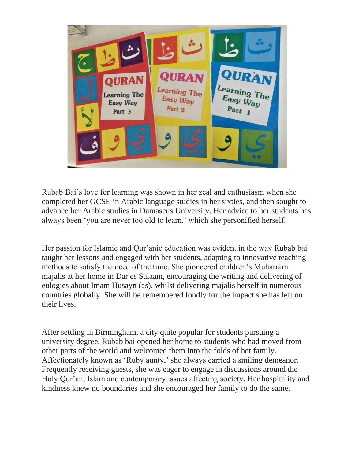

Rubab Bai's love for learning was shown in her zeal and enthusiasm when she completed her GCSE in Arabic language studies in her sixties, and then sought to advance her Arabic studies in Damascus University. Her advice to her students has always been 'you are never too old to learn,' which she personified herself.

Her passion for Islamic and Qur'anic education was evident in the way Rubab bai taught her lessons and engaged with her students, adapting to innovative teaching methods to satisfy the need of the time. She pioneered children's Muharram majalis at her home in Dar es Salaam, encouraging the writing and delivering of eulogies about Imam Husayn (as), whilst delivering majalis herself in numerous countries globally. She will be remembered fondly for the impact she has left on their lives.

After settling in Birmingham, a city quite popular for students pursuing a university degree, Rubab bai opened her home to students who had moved from other parts of the world and welcomed them into the folds of her family. Affectionately known as 'Ruby aunty,' she always carried a smiling demeanor. Frequently receiving guests, she was eager to engage in discussions around the Holy Qur'an, Islam and contemporary issues affecting society. Her hospitality and kindness knew no boundaries and she encouraged her family to do the same.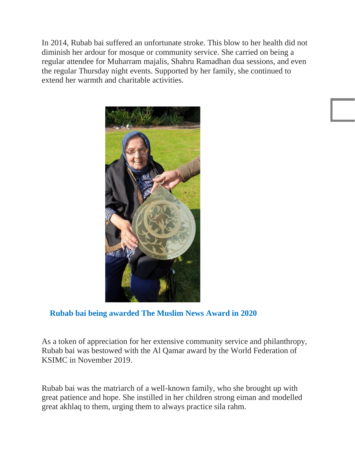In 2014, Rubab bai suffered an unfortunate stroke. This blow to her health did not diminish her ardour for mosque or community service. She carried on being a regular attendee for Muharram majalis, Shahru Ramadhan dua sessions, and even the regular Thursday night events. Supported by her family, she continued to extend her warmth and charitable activities.



## **Rubab bai being awarded The Muslim News Award in 2020**

As a token of appreciation for her extensive community service and philanthropy, Rubab bai was bestowed with the Al Qamar award by the World Federation of KSIMC in November 2019.

Rubab bai was the matriarch of a well-known family, who she brought up with great patience and hope. She instilled in her children strong eiman and modelled great akhlaq to them, urging them to always practice sila rahm.